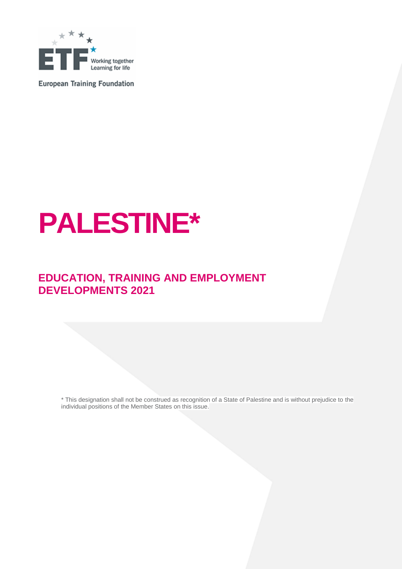

**European Training Foundation** 

# **PALESTINE\***

### **EDUCATION, TRAINING AND EMPLOYMENT DEVELOPMENTS 2021**

\* This designation shall not be construed as recognition of a State of Palestine and is without prejudice to the individual positions of the Member States on this issue.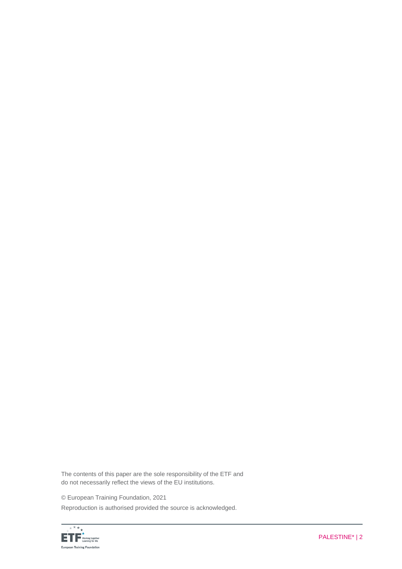The contents of this paper are the sole responsibility of the ETF and do not necessarily reflect the views of the EU institutions.

© European Training Foundation, 2021

Reproduction is authorised provided the source is acknowledged.

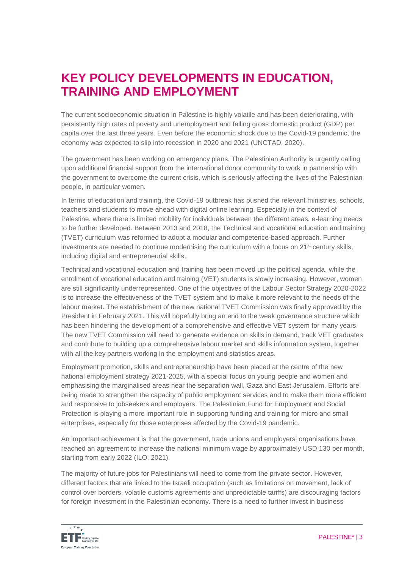### **KEY POLICY DEVELOPMENTS IN EDUCATION, TRAINING AND EMPLOYMENT**

The current socioeconomic situation in Palestine is highly volatile and has been deteriorating, with persistently high rates of poverty and unemployment and falling gross domestic product (GDP) per capita over the last three years. Even before the economic shock due to the Covid-19 pandemic, the economy was expected to slip into recession in 2020 and 2021 (UNCTAD, 2020).

The government has been working on emergency plans. The Palestinian Authority is urgently calling upon additional financial support from the international donor community to work in partnership with the government to overcome the current crisis, which is seriously affecting the lives of the Palestinian people, in particular women.

In terms of education and training, the Covid-19 outbreak has pushed the relevant ministries, schools, teachers and students to move ahead with digital online learning. Especially in the context of Palestine, where there is limited mobility for individuals between the different areas, e-learning needs to be further developed. Between 2013 and 2018, the Technical and vocational education and training (TVET) curriculum was reformed to adopt a modular and competence-based approach. Further investments are needed to continue modernising the curriculum with a focus on  $21<sup>st</sup>$  century skills, including digital and entrepreneurial skills.

Technical and vocational education and training has been moved up the political agenda, while the enrolment of vocational education and training (VET) students is slowly increasing. However, women are still significantly underrepresented. One of the objectives of the Labour Sector Strategy 2020-2022 is to increase the effectiveness of the TVET system and to make it more relevant to the needs of the labour market. The establishment of the new national TVET Commission was finally approved by the President in February 2021. This will hopefully bring an end to the weak governance structure which has been hindering the development of a comprehensive and effective VET system for many years. The new TVET Commission will need to generate evidence on skills in demand, track VET graduates and contribute to building up a comprehensive labour market and skills information system, together with all the key partners working in the employment and statistics areas.

Employment promotion, skills and entrepreneurship have been placed at the centre of the new national employment strategy 2021-2025, with a special focus on young people and women and emphasising the marginalised areas near the separation wall, Gaza and East Jerusalem. Efforts are being made to strengthen the capacity of public employment services and to make them more efficient and responsive to jobseekers and employers. The Palestinian Fund for Employment and Social Protection is playing a more important role in supporting funding and training for micro and small enterprises, especially for those enterprises affected by the Covid-19 pandemic.

An important achievement is that the government, trade unions and employers' organisations have reached an agreement to increase the national minimum wage by approximately USD 130 per month, starting from early 2022 (ILO, 2021).

The majority of future jobs for Palestinians will need to come from the private sector. However, different factors that are linked to the Israeli occupation (such as limitations on movement, lack of control over borders, volatile customs agreements and unpredictable tariffs) are discouraging factors for foreign investment in the Palestinian economy. There is a need to further invest in business

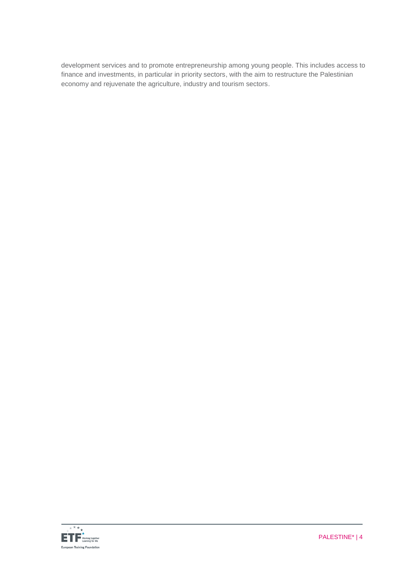development services and to promote entrepreneurship among young people. This includes access to finance and investments, in particular in priority sectors, with the aim to restructure the Palestinian economy and rejuvenate the agriculture, industry and tourism sectors.

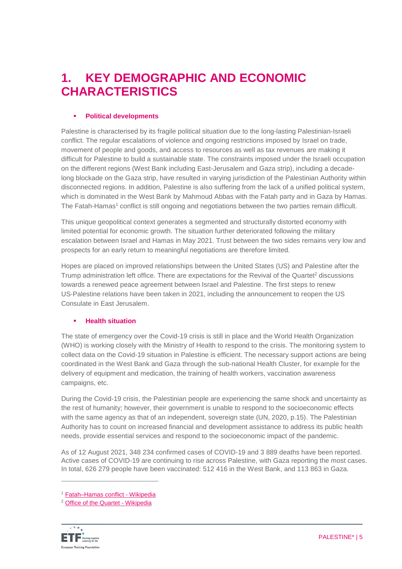### **1. KEY DEMOGRAPHIC AND ECONOMIC CHARACTERISTICS**

### **Political developments**

Palestine is characterised by its fragile political situation due to the long-lasting Palestinian-Israeli conflict. The regular escalations of violence and ongoing restrictions imposed by Israel on trade, movement of people and goods, and access to resources as well as tax revenues are making it difficult for Palestine to build a sustainable state. The constraints imposed under the Israeli occupation on the different regions (West Bank including East-Jerusalem and Gaza strip), including a decadelong blockade on the Gaza strip, have resulted in varying jurisdiction of the Palestinian Authority within disconnected regions. In addition, Palestine is also suffering from the lack of a unified political system, which is dominated in the West Bank by Mahmoud Abbas with the Fatah party and in Gaza by Hamas. The Fatah-Hamas<sup>1</sup> conflict is still ongoing and negotiations between the two parties remain difficult.

This unique geopolitical context generates a segmented and structurally distorted economy with limited potential for economic growth. The situation further deteriorated following the military escalation between Israel and Hamas in May 2021. Trust between the two sides remains very low and prospects for an early return to meaningful negotiations are therefore limited.

Hopes are placed on improved relationships between the United States (US) and Palestine after the Trump administration left office. There are expectations for the Revival of the Quartet<sup>2</sup> discussions towards a renewed peace agreement between Israel and Palestine. The first steps to renew US‑Palestine relations have been taken in 2021, including the announcement to reopen the US Consulate in East Jerusalem.

### **Health situation**

The state of emergency over the Covid-19 crisis is still in place and the World Health Organization (WHO) is working closely with the Ministry of Health to respond to the crisis. The monitoring system to collect data on the Covid-19 situation in Palestine is efficient. The necessary support actions are being coordinated in the West Bank and Gaza through the sub-national Health Cluster, for example for the delivery of equipment and medication, the training of health workers, vaccination awareness campaigns, etc.

During the Covid-19 crisis, the Palestinian people are experiencing the same shock and uncertainty as the rest of humanity; however, their government is unable to respond to the socioeconomic effects with the same agency as that of an independent, sovereign state (UN, 2020, p.15). The Palestinian Authority has to count on increased financial and development assistance to address its public health needs, provide essential services and respond to the socioeconomic impact of the pandemic.

As of 12 August 2021, 348 234 confirmed cases of COVID-19 and 3 889 deaths have been reported. Active cases of COVID-19 are continuing to rise across Palestine, with Gaza reporting the most cases. In total, 626 279 people have been vaccinated: 512 416 in the West Bank, and 113 863 in Gaza.

<sup>2</sup> [Office of the Quartet -](https://en.wikipedia.org/wiki/Office_of_the_Quartet) Wikipedia



 $\overline{a}$ 

<sup>1</sup> [Fatah–Hamas conflict -](https://en.wikipedia.org/wiki/Fatah%E2%80%93Hamas_conflict) Wikipedia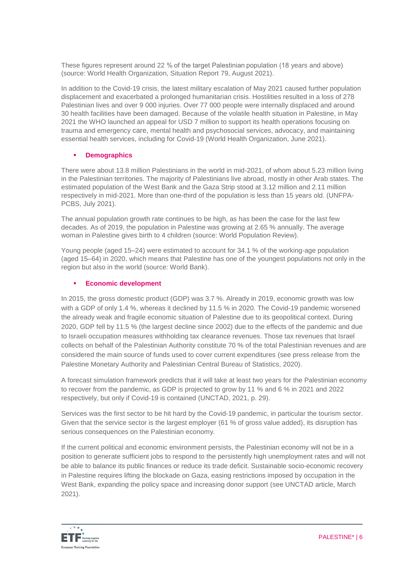These figures represent around 22 % of the target Palestinian population (18 years and above) (source: World Health Organization, Situation Report 79, August 2021).

In addition to the Covid-19 crisis, the latest military escalation of May 2021 caused further population displacement and exacerbated a prolonged humanitarian crisis. Hostilities resulted in a loss of 278 Palestinian lives and over 9 000 injuries. Over 77 000 people were internally displaced and around 30 health facilities have been damaged. Because of the volatile health situation in Palestine, in May 2021 the WHO launched an appeal for USD 7 million to support its health operations focusing on trauma and emergency care, mental health and psychosocial services, advocacy, and maintaining essential health services, including for Covid-19 (World Health Organization, June 2021).

### **Demographics**

There were about 13.8 million Palestinians in the world in mid-2021, of whom about 5.23 million living in the Palestinian territories. The majority of Palestinians live abroad, mostly in other Arab states. The estimated population of the West Bank and the Gaza Strip stood at 3.12 million and 2.11 million respectively in mid-2021. More than one-third of the population is less than 15 years old. (UNFPA-PCBS, July 2021).

The annual population growth rate continues to be high, as has been the case for the last few decades. As of 2019, the population in Palestine was growing at 2.65 % annually. The average woman in Palestine gives birth to 4 children (source: World Population Review).

Young people (aged 15–24) were estimated to account for 34.1 % of the working-age population (aged 15–64) in 2020, which means that Palestine has one of the youngest populations not only in the region but also in the world (source: World Bank).

#### **Economic development**

In 2015, the gross domestic product (GDP) was 3.7 %. Already in 2019, economic growth was low with a GDP of only 1.4 %, whereas it declined by 11.5 % in 2020. The Covid-19 pandemic worsened the already weak and fragile economic situation of Palestine due to its geopolitical context. During 2020, GDP fell by 11.5 % (the largest decline since 2002) due to the effects of the pandemic and due to Israeli occupation measures withholding tax clearance revenues. Those tax revenues that Israel collects on behalf of the Palestinian Authority constitute 70 % of the total Palestinian revenues and are considered the main source of funds used to cover current expenditures (see press release from the Palestine Monetary Authority and Palestinian Central Bureau of Statistics, 2020).

A forecast simulation framework predicts that it will take at least two years for the Palestinian economy to recover from the pandemic, as GDP is projected to grow by 11 % and 6 % in 2021 and 2022 respectively, but only if Covid-19 is contained (UNCTAD, 2021, p. 29).

Services was the first sector to be hit hard by the Covid-19 pandemic, in particular the tourism sector. Given that the service sector is the largest employer (61 % of gross value added), its disruption has serious consequences on the Palestinian economy.

If the current political and economic environment persists, the Palestinian economy will not be in a position to generate sufficient jobs to respond to the persistently high unemployment rates and will not be able to balance its public finances or reduce its trade deficit. Sustainable socio-economic recovery in Palestine requires lifting the blockade on Gaza, easing restrictions imposed by occupation in the West Bank, expanding the policy space and increasing donor support (see UNCTAD article, March 2021).

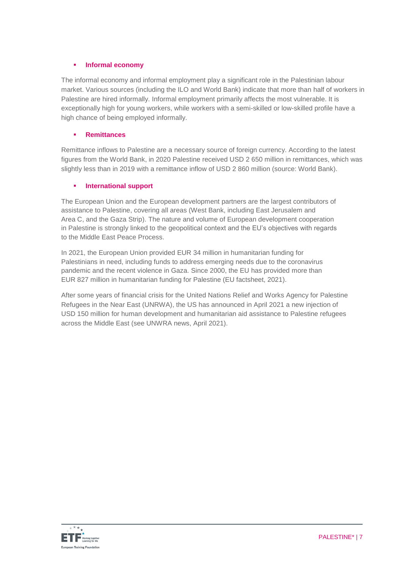### **Informal economy**

The informal economy and informal employment play a significant role in the Palestinian labour market. Various sources (including the ILO and World Bank) indicate that more than half of workers in Palestine are hired informally. Informal employment primarily affects the most vulnerable. It is exceptionally high for young workers, while workers with a semi-skilled or low-skilled profile have a high chance of being employed informally.

### **Remittances**

Remittance inflows to Palestine are a necessary source of foreign currency. According to the latest figures from the World Bank, in 2020 Palestine received USD 2 650 million in remittances, which was slightly less than in 2019 with a remittance inflow of USD 2 860 million (source: World Bank).

### **International support**

The European Union and the European development partners are the largest contributors of assistance to Palestine, covering all areas (West Bank, including East Jerusalem and Area C, and the Gaza Strip). The nature and volume of European development cooperation in Palestine is strongly linked to the geopolitical context and the EU's objectives with regards to the Middle East Peace Process.

In 2021, the European Union provided EUR 34 million in humanitarian funding for Palestinians in need, including funds to address emerging needs due to the coronavirus pandemic and the recent violence in Gaza. Since 2000, the EU has provided more than EUR 827 million in humanitarian funding for Palestine (EU factsheet, 2021).

After some years of financial crisis for the United Nations Relief and Works Agency for Palestine Refugees in the Near East (UNRWA), the US has announced in April 2021 a new injection of USD 150 million for human development and humanitarian aid assistance to Palestine refugees across the Middle East (see UNWRA news, April 2021).

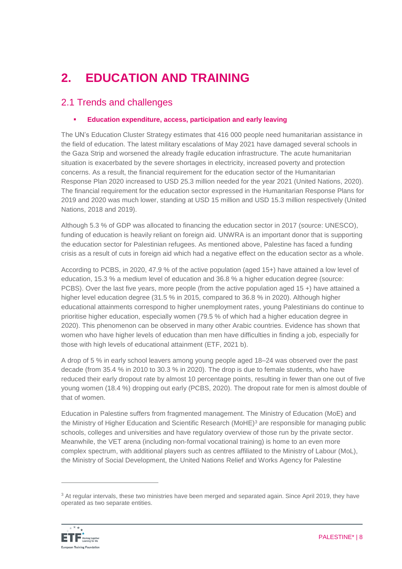# **2. EDUCATION AND TRAINING**

### 2.1 Trends and challenges

### **Education expenditure, access, participation and early leaving**

The UN's Education Cluster Strategy estimates that 416 000 people need humanitarian assistance in the field of education. The latest military escalations of May 2021 have damaged several schools in the Gaza Strip and worsened the already fragile education infrastructure. The acute humanitarian situation is exacerbated by the severe shortages in electricity, increased poverty and protection concerns. As a result, the financial requirement for the education sector of the Humanitarian Response Plan 2020 increased to USD 25.3 million needed for the year 2021 (United Nations, 2020). The financial requirement for the education sector expressed in the Humanitarian Response Plans for 2019 and 2020 was much lower, standing at USD 15 million and USD 15.3 million respectively (United Nations, 2018 and 2019).

Although 5.3 % of GDP was allocated to financing the education sector in 2017 (source: UNESCO), funding of education is heavily reliant on foreign aid. UNWRA is an important donor that is supporting the education sector for Palestinian refugees. As mentioned above, Palestine has faced a funding crisis as a result of cuts in foreign aid which had a negative effect on the education sector as a whole.

According to PCBS, in 2020, 47.9 % of the active population (aged 15+) have attained a low level of education, 15.3 % a medium level of education and 36.8 % a higher education degree (source: PCBS). Over the last five years, more people (from the active population aged 15 +) have attained a higher level education degree (31.5 % in 2015, compared to 36.8 % in 2020). Although higher educational attainments correspond to higher unemployment rates, young Palestinians do continue to prioritise higher education, especially women (79.5 % of which had a higher education degree in 2020). This phenomenon can be observed in many other Arabic countries. Evidence has shown that women who have higher levels of education than men have difficulties in finding a job, especially for those with high levels of educational attainment (ETF, 2021 b).

A drop of 5 % in early school leavers among young people aged 18–24 was observed over the past decade (from 35.4 % in 2010 to 30.3 % in 2020). The drop is due to female students, who have reduced their early dropout rate by almost 10 percentage points, resulting in fewer than one out of five young women (18.4 %) dropping out early (PCBS, 2020). The dropout rate for men is almost double of that of women.

Education in Palestine suffers from fragmented management. The Ministry of Education (MoE) and the Ministry of Higher Education and Scientific Research (MoHE) <sup>3</sup> are responsible for managing public schools, colleges and universities and have regulatory overview of those run by the private sector. Meanwhile, the VET arena (including non-formal vocational training) is home to an even more complex spectrum, with additional players such as centres affiliated to the Ministry of Labour (MoL), the Ministry of Social Development, the United Nations Relief and Works Agency for Palestine

<sup>3</sup> At regular intervals, these two ministries have been merged and separated again. Since April 2019, they have operated as two separate entities.



 $\overline{a}$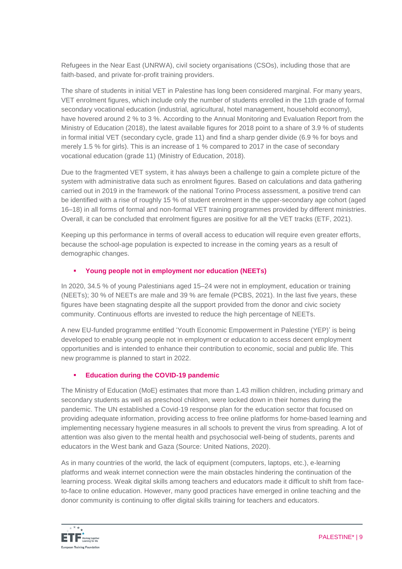Refugees in the Near East (UNRWA), civil society organisations (CSOs), including those that are faith-based, and private for-profit training providers.

The share of students in initial VET in Palestine has long been considered marginal. For many years, VET enrolment figures, which include only the number of students enrolled in the 11th grade of formal secondary vocational education (industrial, agricultural, hotel management, household economy), have hovered around 2 % to 3 %. According to the Annual Monitoring and Evaluation Report from the Ministry of Education (2018), the latest available figures for 2018 point to a share of 3.9 % of students in formal initial VET (secondary cycle, grade 11) and find a sharp gender divide (6.9 % for boys and merely 1.5 % for girls). This is an increase of 1 % compared to 2017 in the case of secondary vocational education (grade 11) (Ministry of Education, 2018).

Due to the fragmented VET system, it has always been a challenge to gain a complete picture of the system with administrative data such as enrolment figures. Based on calculations and data gathering carried out in 2019 in the framework of the national Torino Process assessment, a positive trend can be identified with a rise of roughly 15 % of student enrolment in the upper-secondary age cohort (aged 16–18) in all forms of formal and non-formal VET training programmes provided by different ministries. Overall, it can be concluded that enrolment figures are positive for all the VET tracks (ETF, 2021).

Keeping up this performance in terms of overall access to education will require even greater efforts, because the school-age population is expected to increase in the coming years as a result of demographic changes.

### **Young people not in employment nor education (NEETs)**

In 2020, 34.5 % of young Palestinians aged 15–24 were not in employment, education or training (NEETs); 30 % of NEETs are male and 39 % are female (PCBS, 2021). In the last five years, these figures have been stagnating despite all the support provided from the donor and civic society community. Continuous efforts are invested to reduce the high percentage of NEETs.

A new EU-funded programme entitled 'Youth Economic Empowerment in Palestine (YEP)' is being developed to enable young people not in employment or education to access decent employment opportunities and is intended to enhance their contribution to economic, social and public life. This new programme is planned to start in 2022.

### **Education during the COVID-19 pandemic**

The Ministry of Education (MoE) estimates that more than 1.43 million children, including primary and secondary students as well as preschool children, were locked down in their homes during the pandemic. The UN established a Covid-19 response plan for the education sector that focused on providing adequate information, providing access to free online platforms for home-based learning and implementing necessary hygiene measures in all schools to prevent the virus from spreading. A lot of attention was also given to the mental health and psychosocial well-being of students, parents and educators in the West bank and Gaza (Source: United Nations, 2020).

As in many countries of the world, the lack of equipment (computers, laptops, etc.), e-learning platforms and weak internet connection were the main obstacles hindering the continuation of the learning process. Weak digital skills among teachers and educators made it difficult to shift from faceto-face to online education. However, many good practices have emerged in online teaching and the donor community is continuing to offer digital skills training for teachers and educators.

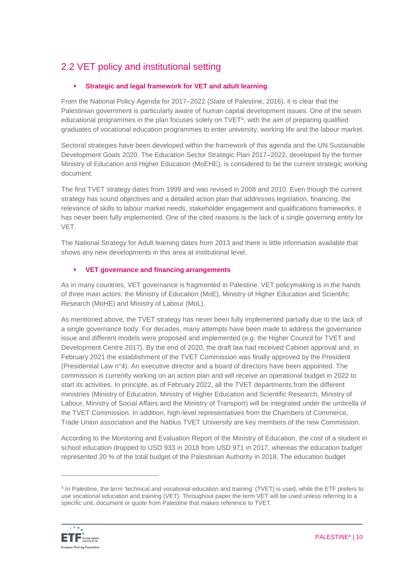### 2.2 VET policy and institutional setting

### **Strategic and legal framework for VET and adult learning**

From the National Policy Agenda for 2017–2022 (State of Palestine, 2016), it is clear that the Palestinian government is particularly aware of human capital development issues. One of the seven educational programmes in the plan focuses solely on TVET<sup>4</sup>, with the aim of preparing qualified graduates of vocational education programmes to enter university, working life and the labour market.

Sectoral strategies have been developed within the framework of this agenda and the UN Sustainable Development Goals 2020. The Education Sector Strategic Plan 2017–2022, developed by the former Ministry of Education and Higher Education (MoEHE), is considered to be the current strategic working document.

The first TVET strategy dates from 1999 and was revised in 2008 and 2010. Even though the current strategy has sound objectives and a detailed action plan that addresses legislation, financing, the relevance of skills to labour market needs, stakeholder engagement and qualifications frameworks, it has never been fully implemented. One of the cited reasons is the lack of a single governing entity for VET.

The National Strategy for Adult learning dates from 2013 and there is little information available that shows any new developments in this area at institutional level.

### **VET governance and financing arrangements**

As in many countries, VET governance is fragmented in Palestine. VET policymaking is in the hands of three main actors: the Ministry of Education (MoE), Ministry of Higher Education and Scientific Research (MoHE) and Ministry of Labour (MoL).

As mentioned above, the TVET strategy has never been fully implemented partially due to the lack of a single governance body. For decades, many attempts have been made to address the governance issue and different models were proposed and implemented (e.g. the Higher Council for TVET and Development Centre 2017). By the end of 2020, the draft law had received Cabinet approval and, in February 2021 the establishment of the TVET Commission was finally approved by the President (Presidential Law n°4). An executive director and a board of directors have been appointed. The commission is currently working on an action plan and will receive an operational budget in 2022 to start its activities. In principle, as of February 2022, all the TVET departments from the different ministries (Ministry of Education, Ministry of Higher Education and Scientific Research, Ministry of Labour, Ministry of Social Affairs and the Ministry of Transport) will be integrated under the umbrella of the TVET Commission. In addition, high-level representatives from the Chambers of Commerce, Trade Union association and the Nablus TVET University are key members of the new Commission.

According to the Monitoring and Evaluation Report of the Ministry of Education, the cost of a student in school education dropped to USD 933 in 2018 from USD 971 in 2017, whereas the education budget represented 20 % of the total budget of the Palestinian Authority in 2018. The education budget

<sup>4</sup> In Palestine, the term 'technical and vocational education and training' (TVET) is used, while the ETF prefers to use vocational education and training (VET). Throughout paper the term VET will be used unless referring to a specific unit, document or quote from Palestine that makes reference to TVET.



 $\overline{a}$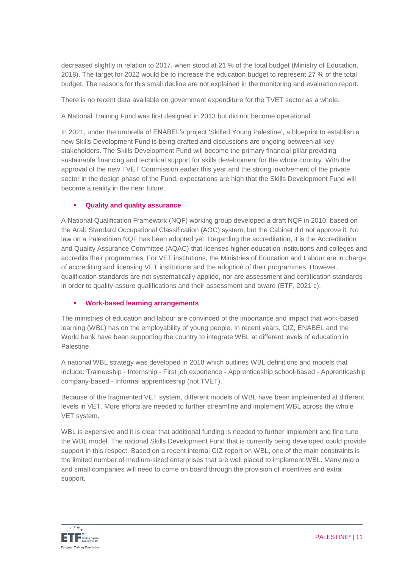decreased slightly in relation to 2017, when stood at 21 % of the total budget (Ministry of Education, 2018). The target for 2022 would be to increase the education budget to represent 27 % of the total budget. The reasons for this small decline are not explained in the monitoring and evaluation report.

There is no recent data available on government expenditure for the TVET sector as a whole.

A National Training Fund was first designed in 2013 but did not become operational.

In 2021, under the umbrella of ENABEL's project 'Skilled Young Palestine', a blueprint to establish a new Skills Development Fund is being drafted and discussions are ongoing between all key stakeholders. The Skills Development Fund will become the primary financial pillar providing sustainable financing and technical support for skills development for the whole country. With the approval of the new TVET Commission earlier this year and the strong involvement of the private sector in the design phase of the Fund, expectations are high that the Skills Development Fund will become a reality in the near future.

### **Quality and quality assurance**

A National Qualification Framework (NQF) working group developed a draft NQF in 2010, based on the Arab Standard Occupational Classification (AOC) system, but the Cabinet did not approve it. No law on a Palestinian NQF has been adopted yet. Regarding the accreditation, it is the Accreditation and Quality Assurance Committee (AQAC) that licenses higher education institutions and colleges and accredits their programmes. For VET institutions, the Ministries of Education and Labour are in charge of accrediting and licensing VET institutions and the adoption of their programmes. However, qualification standards are not systematically applied, nor are assessment and certification standards in order to quality-assure qualifications and their assessment and award (ETF, 2021 c).

#### **Work-based learning arrangements**

The ministries of education and labour are convinced of the importance and impact that work-based learning (WBL) has on the employability of young people. In recent years, GIZ, ENABEL and the World bank have been supporting the country to integrate WBL at different levels of education in Palestine.

A national WBL strategy was developed in 2018 which outlines WBL definitions and models that include: Traineeship - Internship - First job experience - Apprenticeship school-based - Apprenticeship company-based - Informal apprenticeship (not TVET).

Because of the fragmented VET system, different models of WBL have been implemented at different levels in VET. More efforts are needed to further streamline and implement WBL across the whole VET system.

WBL is expensive and it is clear that additional funding is needed to further implement and fine tune the WBL model. The national Skills Development Fund that is currently being developed could provide support in this respect. Based on a recent internal GIZ report on WBL, one of the main constraints is the limited number of medium-sized enterprises that are well placed to implement WBL. Many micro and small companies will need to come on board through the provision of incentives and extra support.

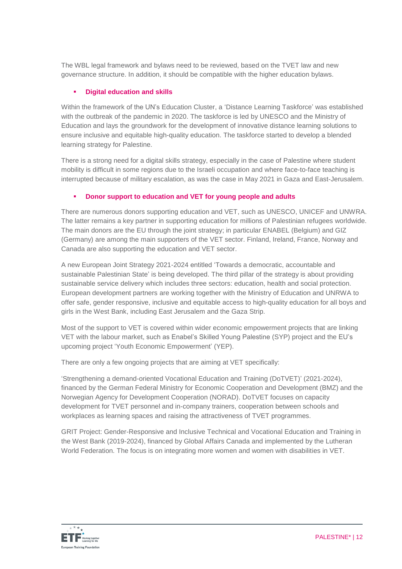The WBL legal framework and bylaws need to be reviewed, based on the TVET law and new governance structure. In addition, it should be compatible with the higher education bylaws.

#### **Digital education and skills**

Within the framework of the UN's Education Cluster, a 'Distance Learning Taskforce' was established with the outbreak of the pandemic in 2020. The taskforce is led by UNESCO and the Ministry of Education and lays the groundwork for the development of innovative distance learning solutions to ensure inclusive and equitable high-quality education. The taskforce started to develop a blended learning strategy for Palestine.

There is a strong need for a digital skills strategy, especially in the case of Palestine where student mobility is difficult in some regions due to the Israeli occupation and where face-to-face teaching is interrupted because of military escalation, as was the case in May 2021 in Gaza and East-Jerusalem.

### **Donor support to education and VET for young people and adults**

There are numerous donors supporting education and VET, such as UNESCO, UNICEF and UNWRA. The latter remains a key partner in supporting education for millions of Palestinian refugees worldwide. The main donors are the EU through the joint strategy; in particular ENABEL (Belgium) and GIZ (Germany) are among the main supporters of the VET sector. Finland, Ireland, France, Norway and Canada are also supporting the education and VET sector.

A new European Joint Strategy 2021-2024 entitled 'Towards a democratic, accountable and sustainable Palestinian State' is being developed. The third pillar of the strategy is about providing sustainable service delivery which includes three sectors: education, health and social protection. European development partners are working together with the Ministry of Education and UNRWA to offer safe, gender responsive, inclusive and equitable access to high-quality education for all boys and girls in the West Bank, including East Jerusalem and the Gaza Strip.

Most of the support to VET is covered within wider economic empowerment projects that are linking VET with the labour market, such as Enabel's Skilled Young Palestine (SYP) project and the EU's upcoming project 'Youth Economic Empowerment' (YEP).

There are only a few ongoing projects that are aiming at VET specifically:

'Strengthening a demand-oriented Vocational Education and Training (DoTVET)' (2021-2024), financed by the German Federal Ministry for Economic Cooperation and Development (BMZ) and the Norwegian Agency for Development Cooperation (NORAD). DoTVET focuses on capacity development for TVET personnel and in-company trainers, cooperation between schools and workplaces as learning spaces and raising the attractiveness of TVET programmes.

GRIT Project: Gender-Responsive and Inclusive Technical and Vocational Education and Training in the West Bank (2019-2024), financed by Global Affairs Canada and implemented by the Lutheran World Federation. The focus is on integrating more women and women with disabilities in VET.

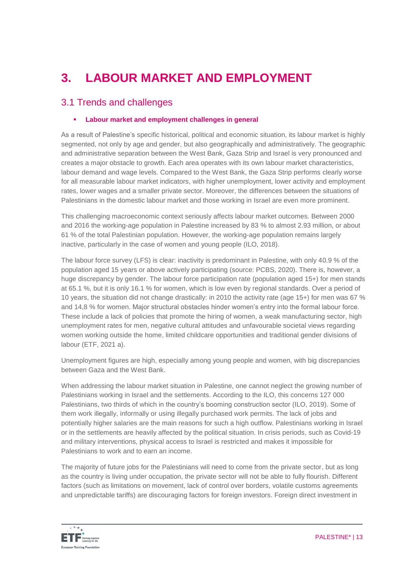# **3. LABOUR MARKET AND EMPLOYMENT**

### 3.1 Trends and challenges

### **Labour market and employment challenges in general**

As a result of Palestine's specific historical, political and economic situation, its labour market is highly segmented, not only by age and gender, but also geographically and administratively. The geographic and administrative separation between the West Bank, Gaza Strip and Israel is very pronounced and creates a major obstacle to growth. Each area operates with its own labour market characteristics, labour demand and wage levels. Compared to the West Bank, the Gaza Strip performs clearly worse for all measurable labour market indicators, with higher unemployment, lower activity and employment rates, lower wages and a smaller private sector. Moreover, the differences between the situations of Palestinians in the domestic labour market and those working in Israel are even more prominent.

This challenging macroeconomic context seriously affects labour market outcomes. Between 2000 and 2016 the working-age population in Palestine increased by 83 % to almost 2.93 million, or about 61 % of the total Palestinian population. However, the working-age population remains largely inactive, particularly in the case of women and young people (ILO, 2018).

The labour force survey (LFS) is clear: inactivity is predominant in Palestine, with only 40.9 % of the population aged 15 years or above actively participating (source: PCBS, 2020). There is, however, a huge discrepancy by gender. The labour force participation rate (population aged 15+) for men stands at 65.1 %, but it is only 16.1 % for women, which is low even by regional standards. Over a period of 10 years, the situation did not change drastically: in 2010 the activity rate (age 15+) for men was 67 % and 14,8 % for women. Major structural obstacles hinder women's entry into the formal labour force. These include a lack of policies that promote the hiring of women, a weak manufacturing sector, high unemployment rates for men, negative cultural attitudes and unfavourable societal views regarding women working outside the home, limited childcare opportunities and traditional gender divisions of labour (ETF, 2021 a).

Unemployment figures are high, especially among young people and women, with big discrepancies between Gaza and the West Bank.

When addressing the labour market situation in Palestine, one cannot neglect the growing number of Palestinians working in Israel and the settlements. According to the ILO, this concerns 127 000 Palestinians, two thirds of which in the country's booming construction sector (ILO, 2019). Some of them work illegally, informally or using illegally purchased work permits. The lack of jobs and potentially higher salaries are the main reasons for such a high outflow. Palestinians working in Israel or in the settlements are heavily affected by the political situation. In crisis periods, such as Covid-19 and military interventions, physical access to Israel is restricted and makes it impossible for Palestinians to work and to earn an income.

The majority of future jobs for the Palestinians will need to come from the private sector, but as long as the country is living under occupation, the private sector will not be able to fully flourish. Different factors (such as limitations on movement, lack of control over borders, volatile customs agreements and unpredictable tariffs) are discouraging factors for foreign investors. Foreign direct investment in

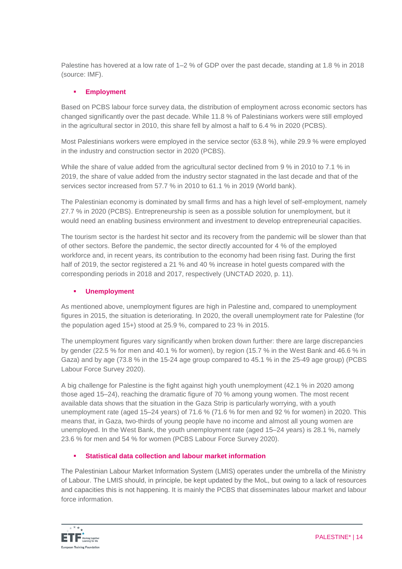Palestine has hovered at a low rate of 1–2 % of GDP over the past decade, standing at 1.8 % in 2018 (source: IMF).

### **Employment**

Based on PCBS labour force survey data, the distribution of employment across economic sectors has changed significantly over the past decade. While 11.8 % of Palestinians workers were still employed in the agricultural sector in 2010, this share fell by almost a half to 6.4 % in 2020 (PCBS).

Most Palestinians workers were employed in the service sector (63.8 %), while 29.9 % were employed in the industry and construction sector in 2020 (PCBS).

While the share of value added from the agricultural sector declined from 9 % in 2010 to 7.1 % in 2019, the share of value added from the industry sector stagnated in the last decade and that of the services sector increased from 57.7 % in 2010 to 61.1 % in 2019 (World bank).

The Palestinian economy is dominated by small firms and has a high level of self-employment, namely 27.7 % in 2020 (PCBS). Entrepreneurship is seen as a possible solution for unemployment, but it would need an enabling business environment and investment to develop entrepreneurial capacities.

The tourism sector is the hardest hit sector and its recovery from the pandemic will be slower than that of other sectors. Before the pandemic, the sector directly accounted for 4 % of the employed workforce and, in recent years, its contribution to the economy had been rising fast. During the first half of 2019, the sector registered a 21 % and 40 % increase in hotel guests compared with the corresponding periods in 2018 and 2017, respectively (UNCTAD 2020, p. 11).

### **Unemployment**

As mentioned above, unemployment figures are high in Palestine and, compared to unemployment figures in 2015, the situation is deteriorating. In 2020, the overall unemployment rate for Palestine (for the population aged 15+) stood at 25.9 %, compared to 23 % in 2015.

The unemployment figures vary significantly when broken down further: there are large discrepancies by gender (22.5 % for men and 40.1 % for women), by region (15.7 % in the West Bank and 46.6 % in Gaza) and by age (73.8 % in the 15-24 age group compared to 45.1 % in the 25-49 age group) (PCBS Labour Force Survey 2020).

A big challenge for Palestine is the fight against high youth unemployment (42.1 % in 2020 among those aged 15–24), reaching the dramatic figure of 70 % among young women. The most recent available data shows that the situation in the Gaza Strip is particularly worrying, with a youth unemployment rate (aged 15–24 years) of 71.6 % (71.6 % for men and 92 % for women) in 2020. This means that, in Gaza, two-thirds of young people have no income and almost all young women are unemployed. In the West Bank, the youth unemployment rate (aged 15–24 years) is 28.1 %, namely 23.6 % for men and 54 % for women (PCBS Labour Force Survey 2020).

### **Statistical data collection and labour market information**

The Palestinian Labour Market Information System (LMIS) operates under the umbrella of the Ministry of Labour. The LMIS should, in principle, be kept updated by the MoL, but owing to a lack of resources and capacities this is not happening. It is mainly the PCBS that disseminates labour market and labour force information.

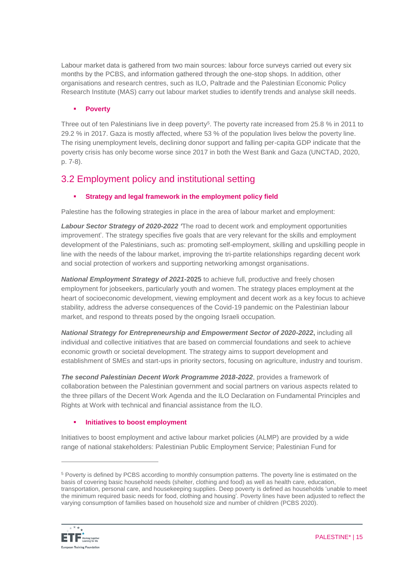Labour market data is gathered from two main sources: labour force surveys carried out every six months by the PCBS, and information gathered through the one-stop shops. In addition, other organisations and research centres, such as ILO, Paltrade and the Palestinian Economic Policy Research Institute (MAS) carry out labour market studies to identify trends and analyse skill needs.

### **Poverty**

Three out of ten Palestinians live in deep poverty<sup>5</sup>. The poverty rate increased from 25.8  $%$  in 2011 to 29.2 % in 2017. Gaza is mostly affected, where 53 % of the population lives below the poverty line. The rising unemployment levels, declining donor support and falling per-capita GDP indicate that the poverty crisis has only become worse since 2017 in both the West Bank and Gaza (UNCTAD, 2020, p. 7-8).

### 3.2 Employment policy and institutional setting

### **Strategy and legal framework in the employment policy field**

Palestine has the following strategies in place in the area of labour market and employment:

*Labour Sector Strategy of 2020-2022 '*The road to decent work and employment opportunities improvement'. The strategy specifies five goals that are very relevant for the skills and employment development of the Palestinians, such as: promoting self-employment, skilling and upskilling people in line with the needs of the labour market, improving the tri-partite relationships regarding decent work and social protection of workers and supporting networking amongst organisations.

*National Employment Strategy of 2021-***2025** to achieve full, productive and freely chosen employment for jobseekers, particularly youth and women. The strategy places employment at the heart of socioeconomic development, viewing employment and decent work as a key focus to achieve stability, address the adverse consequences of the Covid-19 pandemic on the Palestinian labour market, and respond to threats posed by the ongoing Israeli occupation.

*National Strategy for Entrepreneurship and Empowerment Sector of 2020-2022***,** including all individual and collective initiatives that are based on commercial foundations and seek to achieve economic growth or societal development. The strategy aims to support development and establishment of SMEs and start-ups in priority sectors, focusing on agriculture, industry and tourism.

*The second Palestinian Decent Work Programme 2018-2022*, provides a framework of collaboration between the Palestinian government and social partners on various aspects related to the three pillars of the Decent Work Agenda and the ILO Declaration on Fundamental Principles and Rights at Work with technical and financial assistance from the ILO.

### **Initiatives to boost employment**

Initiatives to boost employment and active labour market policies (ALMP) are provided by a wide range of national stakeholders: Palestinian Public Employment Service; Palestinian Fund for

<sup>5</sup> Poverty is defined by PCBS according to monthly consumption patterns. The poverty line is estimated on the basis of covering basic household needs (shelter, clothing and food) as well as health care, education, transportation, personal care, and housekeeping supplies. Deep poverty is defined as households 'unable to meet the minimum required basic needs for food, clothing and housing'. Poverty lines have been adjusted to reflect the varying consumption of families based on household size and number of children (PCBS 2020).



 $\overline{a}$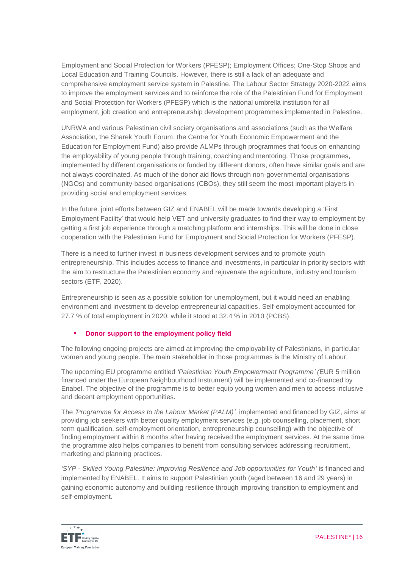Employment and Social Protection for Workers (PFESP); Employment Offices; One-Stop Shops and Local Education and Training Councils. However, there is still a lack of an adequate and comprehensive employment service system in Palestine. The Labour Sector Strategy 2020-2022 aims to improve the employment services and to reinforce the role of the Palestinian Fund for Employment and Social Protection for Workers (PFESP) which is the national umbrella institution for all employment, job creation and entrepreneurship development programmes implemented in Palestine.

UNRWA and various Palestinian civil society organisations and associations (such as the Welfare Association, the Sharek Youth Forum, the Centre for Youth Economic Empowerment and the Education for Employment Fund) also provide ALMPs through programmes that focus on enhancing the employability of young people through training, coaching and mentoring. Those programmes, implemented by different organisations or funded by different donors, often have similar goals and are not always coordinated. As much of the donor aid flows through non-governmental organisations (NGOs) and community-based organisations (CBOs), they still seem the most important players in providing social and employment services.

In the future. joint efforts between GIZ and ENABEL will be made towards developing a 'First Employment Facility' that would help VET and university graduates to find their way to employment by getting a first job experience through a matching platform and internships. This will be done in close cooperation with the Palestinian Fund for Employment and Social Protection for Workers (PFESP).

There is a need to further invest in business development services and to promote youth entrepreneurship. This includes access to finance and investments, in particular in priority sectors with the aim to restructure the Palestinian economy and rejuvenate the agriculture, industry and tourism sectors (ETF, 2020).

Entrepreneurship is seen as a possible solution for unemployment, but it would need an enabling environment and investment to develop entrepreneurial capacities. Self-employment accounted for 27.7 % of total employment in 2020, while it stood at 32.4 % in 2010 (PCBS).

### **Donor support to the employment policy field**

The following ongoing projects are aimed at improving the employability of Palestinians, in particular women and young people. The main stakeholder in those programmes is the Ministry of Labour.

The upcoming EU programme entitled *'Palestinian Youth Empowerment Programme' (*EUR 5 million financed under the European Neighbourhood Instrument) will be implemented and co-financed by Enabel. The objective of the programme is to better equip young women and men to access inclusive and decent employment opportunities.

The *'Programme for Access to the Labour Market (PALM)',* implemented and financed by GIZ, aims at providing job seekers with better quality employment services (e.g. job counselling, placement, short term qualification, self-employment orientation, entrepreneurship counselling) with the objective of finding employment within 6 months after having received the employment services. At the same time, the programme also helps companies to benefit from consulting services addressing recruitment, marketing and planning practices.

*'SYP - Skilled Young Palestine: Improving Resilience and Job opportunities for Youth'* is financed and implemented by ENABEL. It aims to support Palestinian youth (aged between 16 and 29 years) in gaining economic autonomy and building resilience through improving transition to employment and self-employment.

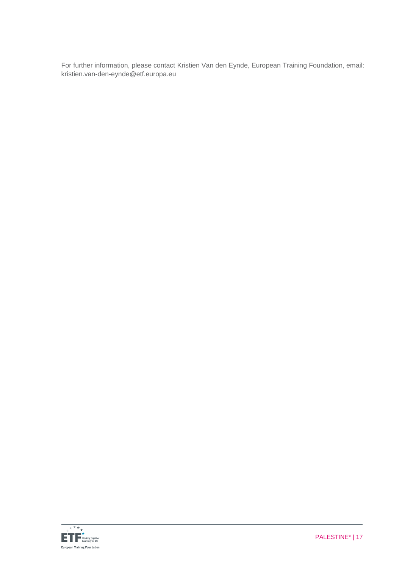For further information, please contact Kristien Van den Eynde, European Training Foundation, email: kristien.van-den-eynde@etf.europa.eu

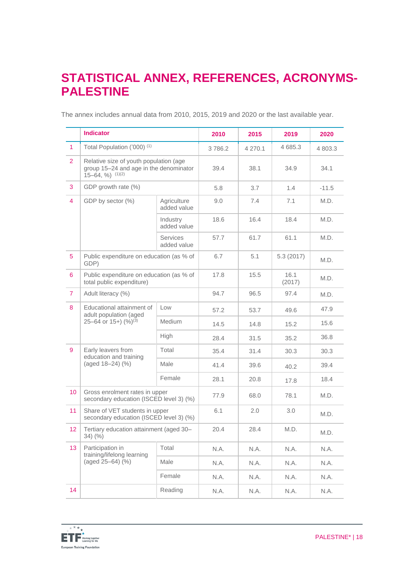### **STATISTICAL ANNEX, REFERENCES, ACRONYMS-PALESTINE**

The annex includes annual data from 2010, 2015, 2019 and 2020 or the last available year.

|                 | <b>Indicator</b>                                                                                      |                                | 2010   | 2015    | 2019           | 2020    |
|-----------------|-------------------------------------------------------------------------------------------------------|--------------------------------|--------|---------|----------------|---------|
| $\mathbf{1}$    | Total Population ('000) <sup>(1)</sup>                                                                |                                | 3786.2 | 4 270.1 | 4 685.3        | 4 803.3 |
| $\overline{2}$  | Relative size of youth population (age<br>group 15-24 and age in the denominator<br>$15-64, %$ (1)(2) |                                | 39.4   | 38.1    | 34.9           | 34.1    |
| 3               | GDP growth rate (%)                                                                                   |                                | 5.8    | 3.7     | 1.4            | $-11.5$ |
| $\overline{4}$  | GDP by sector (%)                                                                                     | Agriculture<br>added value     | 9.0    | 7.4     | 7.1            | M.D.    |
|                 |                                                                                                       | Industry<br>added value        | 18.6   | 16.4    | 18.4           | M.D.    |
|                 |                                                                                                       | <b>Services</b><br>added value | 57.7   | 61.7    | 61.1           | M.D.    |
| 5               | Public expenditure on education (as % of<br>GDP)                                                      |                                | 6.7    | 5.1     | 5.3(2017)      | M.D.    |
| 6               | Public expenditure on education (as % of<br>total public expenditure)                                 |                                | 17.8   | 15.5    | 16.1<br>(2017) | M.D.    |
| $\overline{7}$  | Adult literacy (%)                                                                                    |                                | 94.7   | 96.5    | 97.4           | M.D.    |
| 8               | Educational attainment of<br>adult population (aged                                                   | Low                            | 57.2   | 53.7    | 49.6           | 47.9    |
|                 | 25-64 or 15+) $(%)^{(3)}$                                                                             | <b>Medium</b>                  | 14.5   | 14.8    | 15.2           | 15.6    |
|                 |                                                                                                       | High                           | 28.4   | 31.5    | 35.2           | 36.8    |
| 9               | Early leavers from<br>education and training                                                          | Total                          | 35.4   | 31.4    | 30.3           | 30.3    |
|                 | (aged 18-24) (%)                                                                                      | Male                           | 41.4   | 39.6    | 40.2           | 39.4    |
|                 |                                                                                                       | Female                         | 28.1   | 20.8    | 17.8           | 18.4    |
| 10 <sup>°</sup> | Gross enrolment rates in upper<br>secondary education (ISCED level 3) (%)                             |                                | 77.9   | 68.0    | 78.1           | M.D.    |
| 11              | Share of VET students in upper<br>secondary education (ISCED level 3) (%)                             |                                | 6.1    | 2.0     | 3.0            | M.D.    |
| 12 <sub>2</sub> | Tertiary education attainment (aged 30-<br>$34)$ (%)                                                  |                                | 20.4   | 28.4    | M.D.           | M.D.    |
| 13              | Participation in                                                                                      | Total                          | N.A.   | N.A.    | N.A.           | N.A.    |
|                 | training/lifelong learning<br>(aged 25-64) (%)                                                        | Male                           | N.A.   | N.A.    | N.A.           | N.A.    |
|                 |                                                                                                       | Female                         | N.A.   | N.A.    | N.A.           | N.A.    |
| 14              |                                                                                                       | Reading                        | N.A.   | N.A.    | N.A.           | N.A.    |

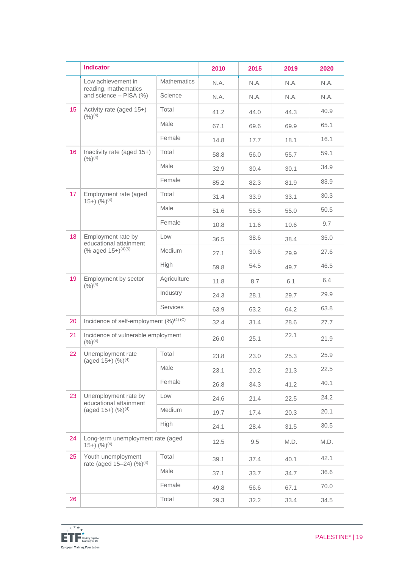|    | <b>Indicator</b>                                                            |                    | 2010 | 2015 | 2019 | 2020 |
|----|-----------------------------------------------------------------------------|--------------------|------|------|------|------|
|    | Low achievement in<br>reading, mathematics                                  | <b>Mathematics</b> | N.A. | N.A. | N.A. | N.A. |
|    | and science - PISA (%)                                                      | Science            | N.A. | N.A. | N.A. | N.A. |
| 15 | Activity rate (aged 15+)<br>$(9/6)^{(4)}$                                   | Total              | 41.2 | 44.0 | 44.3 | 40.9 |
|    |                                                                             | Male               | 67.1 | 69.6 | 69.9 | 65.1 |
|    |                                                                             | Female             | 14.8 | 17.7 | 18.1 | 16.1 |
| 16 | Inactivity rate (aged 15+)<br>$(9/6)^{(4)}$                                 | Total              | 58.8 | 56.0 | 55.7 | 59.1 |
|    |                                                                             | Male               | 32.9 | 30.4 | 30.1 | 34.9 |
|    |                                                                             | Female             | 85.2 | 82.3 | 81.9 | 83.9 |
| 17 | Employment rate (aged<br>$(15+)$ $(%)^{(4)}$                                | Total              | 31.4 | 33.9 | 33.1 | 30.3 |
|    |                                                                             | Male               | 51.6 | 55.5 | 55.0 | 50.5 |
|    |                                                                             | Female             | 10.8 | 11.6 | 10.6 | 9.7  |
| 18 | Employment rate by<br>educational attainment                                | Low                | 36.5 | 38.6 | 38.4 | 35.0 |
|    | (% aged $15+$ ) <sup>(4)(5)</sup>                                           | Medium             | 27.1 | 30.6 | 29.9 | 27.6 |
|    |                                                                             | High               | 59.8 | 54.5 | 49.7 | 46.5 |
| 19 | Employment by sector<br>$(9/6)^{(4)}$                                       | Agriculture        | 11.8 | 8.7  | 6.1  | 6.4  |
|    |                                                                             | Industry           | 24.3 | 28.1 | 29.7 | 29.9 |
|    |                                                                             | <b>Services</b>    | 63.9 | 63.2 | 64.2 | 63.8 |
| 20 | Incidence of self-employment $(\%)^{(4)(C)}$                                |                    | 32.4 | 31.4 | 28.6 | 27.7 |
| 21 | Incidence of vulnerable employment<br>$(9/6)^{(4)}$                         |                    | 26.0 | 25.1 | 22.1 | 21.9 |
| 22 | Unemployment rate<br>(aged 15+) (%) <sup>(4)</sup>                          | Total              | 23.8 | 23.0 | 25.3 | 25.9 |
|    |                                                                             | Male               | 23.1 | 20.2 | 21.3 | 22.5 |
|    |                                                                             | Female             | 26.8 | 34.3 | 41.2 | 40.1 |
| 23 | Unemployment rate by<br>educational attainment<br>(aged $15+$ ) $(%)^{(4)}$ | Low                | 24.6 | 21.4 | 22.5 | 24.2 |
|    |                                                                             | Medium             | 19.7 | 17.4 | 20.3 | 20.1 |
|    |                                                                             | High               | 24.1 | 28.4 | 31.5 | 30.5 |
| 24 | Long-term unemployment rate (aged<br>$(15+)$ $(%)^{(4)}$                    |                    | 12.5 | 9.5  | M.D. | M.D. |
| 25 | Youth unemployment<br>rate (aged 15–24) $(\%)^{(4)}$                        | Total              | 39.1 | 37.4 | 40.1 | 42.1 |
|    |                                                                             | Male               | 37.1 | 33.7 | 34.7 | 36.6 |
|    |                                                                             | Female             | 49.8 | 56.6 | 67.1 | 70.0 |
| 26 |                                                                             | Total              | 29.3 | 32.2 | 33.4 | 34.5 |

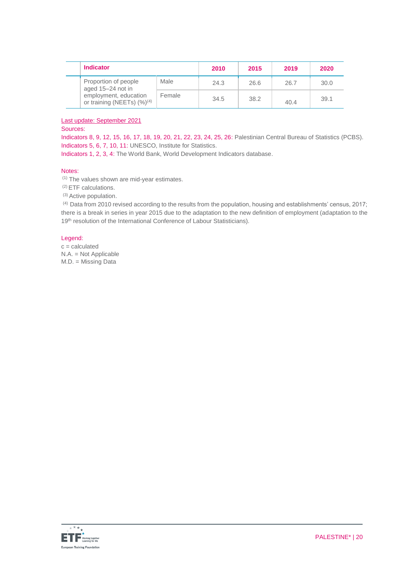| <b>Indicator</b>                                          |        | 2010 | 2015 | 2019 | 2020 |
|-----------------------------------------------------------|--------|------|------|------|------|
| Proportion of people<br>aged 15-24 not in                 | Male   | 24.3 | 26.6 | 26.7 | 30.0 |
| employment, education<br>or training (NEETs) $(\%)^{(4)}$ | Female | 34.5 | 38.2 | 40.4 | 39.1 |

#### Last update: September 2021

#### Sources:

Indicators 8, 9, 12, 15, 16, 17, 18, 19, 20, 21, 22, 23, 24, 25, 26: Palestinian Central Bureau of Statistics (PCBS). Indicators 5, 6, 7, 10, 11: UNESCO, Institute for Statistics.

Indicators 1, 2, 3, 4: The World Bank, World Development Indicators database.

#### Notes:

(1) The values shown are mid-year estimates.

(2) ETF calculations.

(3) Active population.

(4) Data from 2010 revised according to the results from the population, housing and establishments' census, 2017; there is a break in series in year 2015 due to the adaptation to the new definition of employment (adaptation to the 19<sup>th</sup> resolution of the International Conference of Labour Statisticians).

#### Legend:

 $c =$  calculated N.A. = Not Applicable M.D. = Missing Data

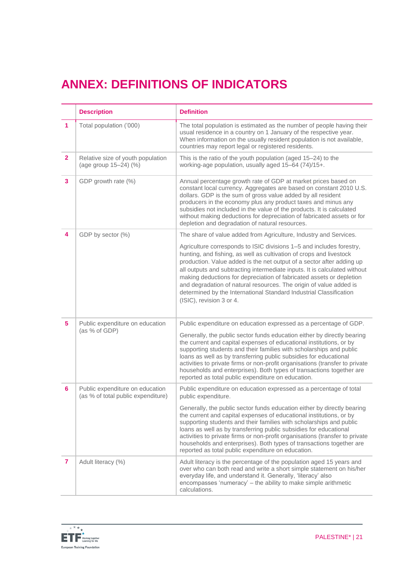# **ANNEX: DEFINITIONS OF INDICATORS**

|                | <b>Description</b>                                                    | <b>Definition</b>                                                                                                                                                                                                                                                                                                                                                                                                                                                                                                                                 |
|----------------|-----------------------------------------------------------------------|---------------------------------------------------------------------------------------------------------------------------------------------------------------------------------------------------------------------------------------------------------------------------------------------------------------------------------------------------------------------------------------------------------------------------------------------------------------------------------------------------------------------------------------------------|
| 1              | Total population ('000)                                               | The total population is estimated as the number of people having their<br>usual residence in a country on 1 January of the respective year.<br>When information on the usually resident population is not available,<br>countries may report legal or registered residents.                                                                                                                                                                                                                                                                       |
| $\overline{2}$ | Relative size of youth population<br>(age group 15-24) (%)            | This is the ratio of the youth population (aged 15-24) to the<br>working-age population, usually aged 15-64 (74)/15+.                                                                                                                                                                                                                                                                                                                                                                                                                             |
| 3              | GDP growth rate (%)                                                   | Annual percentage growth rate of GDP at market prices based on<br>constant local currency. Aggregates are based on constant 2010 U.S.<br>dollars. GDP is the sum of gross value added by all resident<br>producers in the economy plus any product taxes and minus any<br>subsidies not included in the value of the products. It is calculated<br>without making deductions for depreciation of fabricated assets or for<br>depletion and degradation of natural resources.                                                                      |
| 4              | GDP by sector (%)                                                     | The share of value added from Agriculture, Industry and Services.                                                                                                                                                                                                                                                                                                                                                                                                                                                                                 |
|                |                                                                       | Agriculture corresponds to ISIC divisions 1-5 and includes forestry,<br>hunting, and fishing, as well as cultivation of crops and livestock<br>production. Value added is the net output of a sector after adding up<br>all outputs and subtracting intermediate inputs. It is calculated without<br>making deductions for depreciation of fabricated assets or depletion<br>and degradation of natural resources. The origin of value added is<br>determined by the International Standard Industrial Classification<br>(ISIC), revision 3 or 4. |
| 5              | Public expenditure on education<br>(as % of GDP)                      | Public expenditure on education expressed as a percentage of GDP.                                                                                                                                                                                                                                                                                                                                                                                                                                                                                 |
|                |                                                                       | Generally, the public sector funds education either by directly bearing<br>the current and capital expenses of educational institutions, or by<br>supporting students and their families with scholarships and public<br>loans as well as by transferring public subsidies for educational<br>activities to private firms or non-profit organisations (transfer to private<br>households and enterprises). Both types of transactions together are<br>reported as total public expenditure on education.                                          |
| 6              | Public expenditure on education<br>(as % of total public expenditure) | Public expenditure on education expressed as a percentage of total<br>public expenditure.                                                                                                                                                                                                                                                                                                                                                                                                                                                         |
|                |                                                                       | Generally, the public sector funds education either by directly bearing<br>the current and capital expenses of educational institutions, or by<br>supporting students and their families with scholarships and public<br>loans as well as by transferring public subsidies for educational<br>activities to private firms or non-profit organisations (transfer to private<br>households and enterprises). Both types of transactions together are<br>reported as total public expenditure on education.                                          |
| $\mathbf{7}$   | Adult literacy (%)                                                    | Adult literacy is the percentage of the population aged 15 years and<br>over who can both read and write a short simple statement on his/her<br>everyday life, and understand it. Generally, 'literacy' also<br>encompasses 'numeracy' - the ability to make simple arithmetic<br>calculations.                                                                                                                                                                                                                                                   |

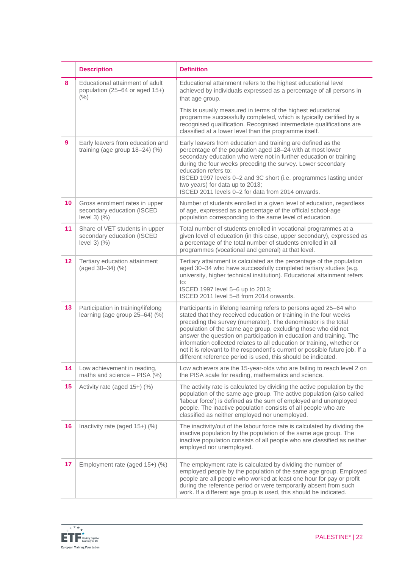|    | <b>Description</b>                                                                 | <b>Definition</b>                                                                                                                                                                                                                                                                                                                                                                                                                                                                                                                                                           |  |
|----|------------------------------------------------------------------------------------|-----------------------------------------------------------------------------------------------------------------------------------------------------------------------------------------------------------------------------------------------------------------------------------------------------------------------------------------------------------------------------------------------------------------------------------------------------------------------------------------------------------------------------------------------------------------------------|--|
| 8  | Educational attainment of adult<br>population (25–64 or aged 15+)<br>(% )          | Educational attainment refers to the highest educational level<br>achieved by individuals expressed as a percentage of all persons in<br>that age group.                                                                                                                                                                                                                                                                                                                                                                                                                    |  |
|    |                                                                                    | This is usually measured in terms of the highest educational<br>programme successfully completed, which is typically certified by a<br>recognised qualification. Recognised intermediate qualifications are<br>classified at a lower level than the programme itself.                                                                                                                                                                                                                                                                                                       |  |
| 9  | Early leavers from education and<br>training (age group $18-24$ ) (%)              | Early leavers from education and training are defined as the<br>percentage of the population aged 18-24 with at most lower<br>secondary education who were not in further education or training<br>during the four weeks preceding the survey. Lower secondary<br>education refers to:<br>ISCED 1997 levels 0-2 and 3C short (i.e. programmes lasting under<br>two years) for data up to 2013;<br>ISCED 2011 levels 0-2 for data from 2014 onwards.                                                                                                                         |  |
| 10 | Gross enrolment rates in upper<br>secondary education (ISCED<br>level $3)$ $(\% )$ | Number of students enrolled in a given level of education, regardless<br>of age, expressed as a percentage of the official school-age<br>population corresponding to the same level of education.                                                                                                                                                                                                                                                                                                                                                                           |  |
| 11 | Share of VET students in upper<br>secondary education (ISCED<br>level $3)$ $(\% )$ | Total number of students enrolled in vocational programmes at a<br>given level of education (in this case, upper secondary), expressed as<br>a percentage of the total number of students enrolled in all<br>programmes (vocational and general) at that level.                                                                                                                                                                                                                                                                                                             |  |
| 12 | Tertiary education attainment<br>(aged 30-34) (%)                                  | Tertiary attainment is calculated as the percentage of the population<br>aged 30-34 who have successfully completed tertiary studies (e.g.<br>university, higher technical institution). Educational attainment refers<br>$\mathsf{to}:$<br>ISCED 1997 level 5-6 up to 2013;<br>ISCED 2011 level 5-8 from 2014 onwards.                                                                                                                                                                                                                                                     |  |
| 13 | Participation in training/lifelong<br>learning (age group 25-64) (%)               | Participants in lifelong learning refers to persons aged 25-64 who<br>stated that they received education or training in the four weeks<br>preceding the survey (numerator). The denominator is the total<br>population of the same age group, excluding those who did not<br>answer the question on participation in education and training. The<br>information collected relates to all education or training, whether or<br>not it is relevant to the respondent's current or possible future job. If a<br>different reference period is used, this should be indicated. |  |
| 14 | Low achievement in reading,<br>maths and science - PISA (%)                        | Low achievers are the 15-year-olds who are failing to reach level 2 on<br>the PISA scale for reading, mathematics and science.                                                                                                                                                                                                                                                                                                                                                                                                                                              |  |
| 15 | Activity rate (aged 15+) (%)                                                       | The activity rate is calculated by dividing the active population by the<br>population of the same age group. The active population (also called<br>'labour force') is defined as the sum of employed and unemployed<br>people. The inactive population consists of all people who are<br>classified as neither employed nor unemployed.                                                                                                                                                                                                                                    |  |
| 16 | Inactivity rate (aged 15+) (%)                                                     | The inactivity/out of the labour force rate is calculated by dividing the<br>inactive population by the population of the same age group. The<br>inactive population consists of all people who are classified as neither<br>employed nor unemployed.                                                                                                                                                                                                                                                                                                                       |  |
| 17 | Employment rate (aged 15+) (%)                                                     | The employment rate is calculated by dividing the number of<br>employed people by the population of the same age group. Employed<br>people are all people who worked at least one hour for pay or profit<br>during the reference period or were temporarily absent from such<br>work. If a different age group is used, this should be indicated.                                                                                                                                                                                                                           |  |

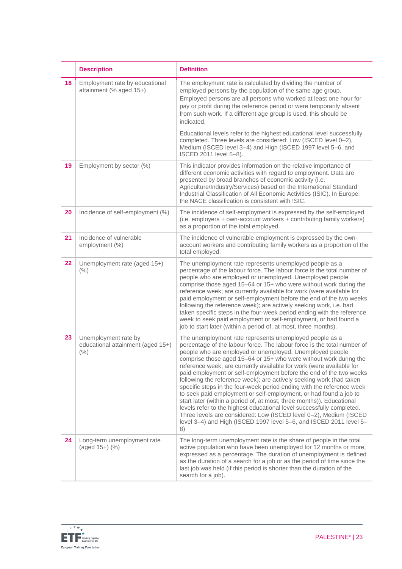|    | <b>Description</b>                                                | <b>Definition</b>                                                                                                                                                                                                                                                                                                                                                                                                                                                                                                                                                                                                                                                                                                                                                                                                                                                                                                                         |
|----|-------------------------------------------------------------------|-------------------------------------------------------------------------------------------------------------------------------------------------------------------------------------------------------------------------------------------------------------------------------------------------------------------------------------------------------------------------------------------------------------------------------------------------------------------------------------------------------------------------------------------------------------------------------------------------------------------------------------------------------------------------------------------------------------------------------------------------------------------------------------------------------------------------------------------------------------------------------------------------------------------------------------------|
| 18 | Employment rate by educational<br>attainment (% aged 15+)         | The employment rate is calculated by dividing the number of<br>employed persons by the population of the same age group.<br>Employed persons are all persons who worked at least one hour for<br>pay or profit during the reference period or were temporarily absent<br>from such work. If a different age group is used, this should be<br>indicated.                                                                                                                                                                                                                                                                                                                                                                                                                                                                                                                                                                                   |
|    |                                                                   | Educational levels refer to the highest educational level successfully<br>completed. Three levels are considered: Low (ISCED level 0-2),<br>Medium (ISCED level 3-4) and High (ISCED 1997 level 5-6, and<br>ISCED 2011 level 5-8).                                                                                                                                                                                                                                                                                                                                                                                                                                                                                                                                                                                                                                                                                                        |
| 19 | Employment by sector (%)                                          | This indicator provides information on the relative importance of<br>different economic activities with regard to employment. Data are<br>presented by broad branches of economic activity (i.e.<br>Agriculture/Industry/Services) based on the International Standard<br>Industrial Classification of All Economic Activities (ISIC). In Europe,<br>the NACE classification is consistent with ISIC.                                                                                                                                                                                                                                                                                                                                                                                                                                                                                                                                     |
| 20 | Incidence of self-employment (%)                                  | The incidence of self-employment is expressed by the self-employed<br>(i.e. employers + own-account workers + contributing family workers)<br>as a proportion of the total employed.                                                                                                                                                                                                                                                                                                                                                                                                                                                                                                                                                                                                                                                                                                                                                      |
| 21 | Incidence of vulnerable<br>employment (%)                         | The incidence of vulnerable employment is expressed by the own-<br>account workers and contributing family workers as a proportion of the<br>total employed.                                                                                                                                                                                                                                                                                                                                                                                                                                                                                                                                                                                                                                                                                                                                                                              |
| 22 | Unemployment rate (aged 15+)<br>(% )                              | The unemployment rate represents unemployed people as a<br>percentage of the labour force. The labour force is the total number of<br>people who are employed or unemployed. Unemployed people<br>comprise those aged 15-64 or 15+ who were without work during the<br>reference week; are currently available for work (were available for<br>paid employment or self-employment before the end of the two weeks<br>following the reference week); are actively seeking work, i.e. had<br>taken specific steps in the four-week period ending with the reference<br>week to seek paid employment or self-employment, or had found a<br>job to start later (within a period of, at most, three months).                                                                                                                                                                                                                                   |
| 23 | Unemployment rate by<br>educational attainment (aged 15+)<br>(% ) | The unemployment rate represents unemployed people as a<br>percentage of the labour force. The labour force is the total number of<br>people who are employed or unemployed. Unemployed people<br>comprise those aged 15-64 or 15+ who were without work during the<br>reference week; are currently available for work (were available for<br>paid employment or self-employment before the end of the two weeks<br>following the reference week); are actively seeking work (had taken<br>specific steps in the four-week period ending with the reference week<br>to seek paid employment or self-employment, or had found a job to<br>start later (within a period of, at most, three months)). Educational<br>levels refer to the highest educational level successfully completed.<br>Three levels are considered: Low (ISCED level 0-2), Medium (ISCED<br>level 3-4) and High (ISCED 1997 level 5-6, and ISCED 2011 level 5-<br>8) |
| 24 | Long-term unemployment rate<br>$(aged 15+)$ $(\%)$                | The long-term unemployment rate is the share of people in the total<br>active population who have been unemployed for 12 months or more,<br>expressed as a percentage. The duration of unemployment is defined<br>as the duration of a search for a job or as the period of time since the<br>last job was held (if this period is shorter than the duration of the<br>search for a job).                                                                                                                                                                                                                                                                                                                                                                                                                                                                                                                                                 |

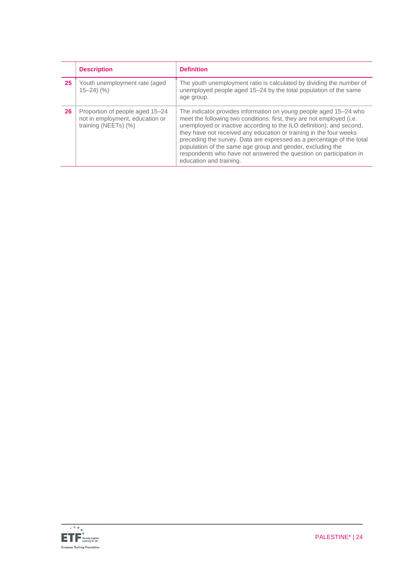|    | <b>Description</b>                                                                         | <b>Definition</b>                                                                                                                                                                                                                                                                                                                                                                                                                                                                                                                |
|----|--------------------------------------------------------------------------------------------|----------------------------------------------------------------------------------------------------------------------------------------------------------------------------------------------------------------------------------------------------------------------------------------------------------------------------------------------------------------------------------------------------------------------------------------------------------------------------------------------------------------------------------|
| 25 | Youth unemployment rate (aged<br>$15 - 24$ $\left(\frac{9}{6}\right)$                      | The youth unemployment ratio is calculated by dividing the number of<br>unemployed people aged 15-24 by the total population of the same<br>age group.                                                                                                                                                                                                                                                                                                                                                                           |
| 26 | Proportion of people aged 15–24<br>not in employment, education or<br>training (NEETs) (%) | The indicator provides information on young people aged 15–24 who<br>meet the following two conditions: first, they are not employed (i.e.<br>unemployed or inactive according to the ILO definition); and second,<br>they have not received any education or training in the four weeks<br>preceding the survey. Data are expressed as a percentage of the total<br>population of the same age group and gender, excluding the<br>respondents who have not answered the question on participation in<br>education and training. |

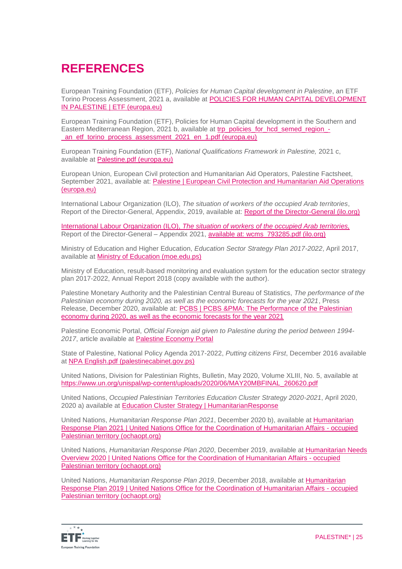# **REFERENCES**

European Training Foundation (ETF), *Policies for Human Capital development in Palestine*, an ETF Torino Process Assessment, 2021 a, available at [POLICIES FOR HUMAN CAPITAL DEVELOPMENT](https://www.etf.europa.eu/en/publications-and-resources/publications/trp-assessment-reports/palestine-2020)  [IN PALESTINE | ETF \(europa.eu\)](https://www.etf.europa.eu/en/publications-and-resources/publications/trp-assessment-reports/palestine-2020)

European Training Foundation (ETF), Policies for Human Capital development in the Southern and Eastern Mediterranean Region, 2021 b, available at [trp\\_policies\\_for\\_hcd\\_semed\\_region\\_-](https://www.etf.europa.eu/sites/default/files/2021-07/trp_policies_for_hcd_semed_region_-_an_etf_torino_process_assessment_2021_en_1.pdf) [\\_an\\_etf\\_torino\\_process\\_assessment\\_2021\\_en\\_1.pdf \(europa.eu\)](https://www.etf.europa.eu/sites/default/files/2021-07/trp_policies_for_hcd_semed_region_-_an_etf_torino_process_assessment_2021_en_1.pdf)

European Training Foundation (ETF), *National Qualifications Framework in Palestine,* 2021 c, available at [Palestine.pdf \(europa.eu\)](https://www.etf.europa.eu/sites/default/files/document/Palestine.pdf)

European Union, European Civil protection and Humanitarian Aid Operators, Palestine Factsheet, September 2021, available at: Palestine | European Civil Protection and Humanitarian Aid Operations [\(europa.eu\)](https://ec.europa.eu/echo/where/middle-east/palestine_en)

International Labour Organization (ILO), *The situation of workers of the occupied Arab territories*, Report of the Director-General, Appendix, 2019, available at: [Report of the Director-General \(ilo.org\)](https://www.ilo.org/wcmsp5/groups/public/---ed_norm/---relconf/documents/meetingdocument/wcms_705016.pdf)

International Labour Organization (ILO), *The situation of workers of the occupied Arab territories,* Report of the Director-General – Appendix 2021, available at: [wcms\\_793285.pdf \(ilo.org\)](https://www.ilo.org/wcmsp5/groups/public/---ed_norm/---relconf/documents/meetingdocument/wcms_793285.pdf)

Ministry of Education and Higher Education, *Education Sector Strategy Plan 2017-2022*, April 2017, available at [Ministry of Education \(moe.edu.ps\)](http://www.moe.edu.ps/En/PageContents/Contents/1036)

Ministry of Education, result-based monitoring and evaluation system for the education sector strategy plan 2017-2022, Annual Report 2018 (copy available with the author).

Palestine Monetary Authority and the Palestinian Central Bureau of Statistics, *The performance of the Palestinian economy during 2020, as well as the economic forecasts for the year 2021*, Press Release, December 2020, available at: PCBS | PCBS &PMA: The Performance of the Palestinian [economy during 2020, as well as the economic forecasts for the year 2021](https://www.pcbs.gov.ps/post.aspx?lang=en&ItemID=3873)

Palestine Economic Portal, *Official Foreign aid given to Palestine during the period between 1994- 2017*, article available at [Palestine Economy Portal](http://www.palestineeconomy.ps/donors/en/About)

State of Palestine, National Policy Agenda 2017-2022, *Putting citizens First*, December 2016 available at [NPA English.pdf \(palestinecabinet.gov.ps\)](http://www.palestinecabinet.gov.ps/WebSite/Upload/Documents/GOVPLAN/NPA%20English.pdf)

United Nations, Division for Palestinian Rights, Bulletin, May 2020, Volume XLIII, No. 5, available at [https://www.un.org/unispal/wp-content/uploads/2020/06/MAY20MBFINAL\\_260620.pdf](https://www.un.org/unispal/wp-content/uploads/2020/06/MAY20MBFINAL_260620.pdf)

United Nations, *Occupied Palestinian Territories Education Cluster Strategy 2020-2021*, April 2020, 2020 a) available at [Education Cluster Strategy | HumanitarianResponse](https://www.humanitarianresponse.info/en/operations/occupied-palestinian-territory/document/education-cluster-strategy)

United Nations, *Humanitarian Response Plan 2021*, December 2020 b), available at [Humanitarian](https://www.ochaopt.org/content/humanitarian-response-plan-2021)  [Response Plan 2021 | United Nations Office for the Coordination of Humanitarian Affairs -](https://www.ochaopt.org/content/humanitarian-response-plan-2021) occupied [Palestinian territory \(ochaopt.org\)](https://www.ochaopt.org/content/humanitarian-response-plan-2021)

United Nations, *Humanitarian Response Plan 2020*, December 2019, available at [Humanitarian Needs](https://www.ochaopt.org/content/humanitarian-needs-overview-2020)  [Overview 2020 | United Nations Office for the Coordination of Humanitarian Affairs -](https://www.ochaopt.org/content/humanitarian-needs-overview-2020) occupied [Palestinian territory \(ochaopt.org\)](https://www.ochaopt.org/content/humanitarian-needs-overview-2020)

United Nations, *Humanitarian Response Plan 2019*, December 2018, available at [Humanitarian](https://www.ochaopt.org/content/humanitarian-response-plan-2019)  [Response Plan 2019 | United Nations Office for the Coordination of Humanitarian Affairs -](https://www.ochaopt.org/content/humanitarian-response-plan-2019) occupied [Palestinian territory \(ochaopt.org\)](https://www.ochaopt.org/content/humanitarian-response-plan-2019)

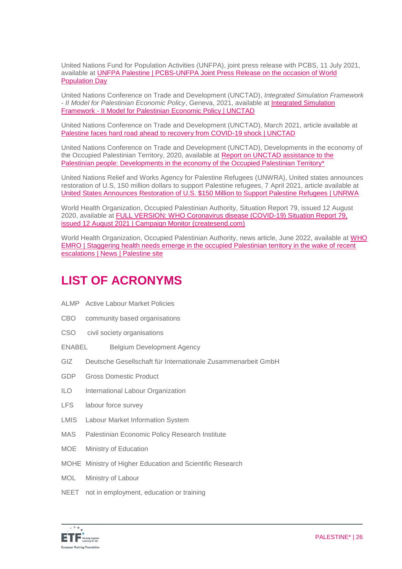United Nations Fund for Population Activities (UNFPA), joint press release with PCBS, 11 July 2021, available at [UNFPA Palestine | PCBS-UNFPA Joint Press Release on the occasion of World](https://palestine.unfpa.org/en/news/pcbs-unfpa-joint-press-release-occasion-world-population-day)  [Population Day](https://palestine.unfpa.org/en/news/pcbs-unfpa-joint-press-release-occasion-world-population-day)

United Nations Conference on Trade and Development (UNCTAD), *Integrated Simulation Framework - II Model for Palestinian Economic Policy*, Geneva, 2021, available at [Integrated Simulation](https://unctad.org/webflyer/integrated-simulation-framework-ii-model-palestinian-economic-policy)  Framework - [II Model for Palestinian Economic Policy | UNCTAD](https://unctad.org/webflyer/integrated-simulation-framework-ii-model-palestinian-economic-policy)

United Nations Conference on Trade and Development (UNCTAD), March 2021, article available at [Palestine faces hard road ahead to recovery from COVID-19 shock | UNCTAD](https://unctad.org/news/palestine-faces-hard-road-ahead-recovery-covid-19-shock)

United Nations Conference on Trade and Development (UNCTAD), Developments in the economy of the Occupied Palestinian Territory, 2020, available at [Report on UNCTAD assistance to the](https://unctad.org/system/files/official-document/tdb67_d5_en.pdf)  [Palestinian people: Developments in the economy of the Occupied Palestinian Territory\\*](https://unctad.org/system/files/official-document/tdb67_d5_en.pdf)

United Nations Relief and Works Agency for Palestine Refugees (UNWRA), United states announces restoration of U.S, 150 million dollars to support Palestine refugees, 7 April 2021, article available at [United States Announces Restoration of U.S. \\$150 Million to Support Palestine Refugees | UNRWA](https://www.unrwa.org/newsroom/press-releases/united-states-announces-restoration-us-150-million-support-palestine)

World Health Organization, Occupied Palestinian Authority, Situation Report 79, issued 12 August 2020, available at [FULL VERSION: WHO Coronavirus disease \(COVID-19\) Situation Report 79,](https://who18.createsend.com/campaigns/reports/viewCampaign.aspx?d=j&c=99FA4938D049E3A8&ID=2BED95B7C1CE38242540EF23F30FEDED&temp=False&tx=0&source=Report)  [issued 12 August 2021 | Campaign Monitor \(createsend.com\)](https://who18.createsend.com/campaigns/reports/viewCampaign.aspx?d=j&c=99FA4938D049E3A8&ID=2BED95B7C1CE38242540EF23F30FEDED&temp=False&tx=0&source=Report)

World Health Organization, Occupied Palestinian Authority, news article, June 2022, available at [WHO](http://www.emro.who.int/opt/news/staggering-health-needs-emerge-in-the-occupied-palestinian-territory-in-the-wake-of-recent-escalations.html)  [EMRO | Staggering health needs emerge in the occupied Palestinian territory in the wake of recent](http://www.emro.who.int/opt/news/staggering-health-needs-emerge-in-the-occupied-palestinian-territory-in-the-wake-of-recent-escalations.html)  [escalations | News | Palestine site](http://www.emro.who.int/opt/news/staggering-health-needs-emerge-in-the-occupied-palestinian-territory-in-the-wake-of-recent-escalations.html)

## **LIST OF ACRONYMS**

- ALMP Active Labour Market Policies
- CBO community based organisations
- CSO civil society organisations
- ENABEL Belgium Development Agency
- GIZ Deutsche Gesellschaft für Internationale Zusammenarbeit GmbH
- GDP Gross Domestic Product
- ILO International Labour Organization
- LFS labour force survey
- LMIS Labour Market Information System
- MAS Palestinian Economic Policy Research Institute
- MOE Ministry of Education
- MOHE Ministry of Higher Education and Scientific Research
- MOL Ministry of Labour
- NEET not in employment, education or training

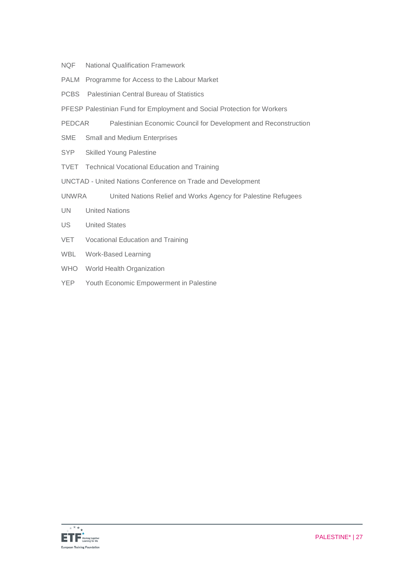- NQF National Qualification Framework
- PALM Programme for Access to the Labour Market
- PCBS Palestinian Central Bureau of Statistics
- PFESP Palestinian Fund for Employment and Social Protection for Workers
- PEDCAR Palestinian Economic Council for Development and Reconstruction
- SME Small and Medium Enterprises
- SYP Skilled Young Palestine
- TVET Technical Vocational Education and Training
- UNCTAD United Nations Conference on Trade and Development
- UNWRA United Nations Relief and Works Agency for Palestine Refugees
- UN United Nations
- US United States
- VET Vocational Education and Training
- WBL Work-Based Learning
- WHO World Health Organization
- YEP Youth Economic Empowerment in Palestine